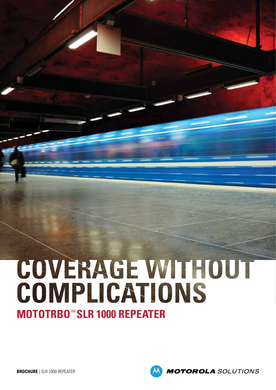# COVERAGE WITHOUT COMPLICATIONS **MOTOTRBO**™ **SLR 1000 REPEATER**

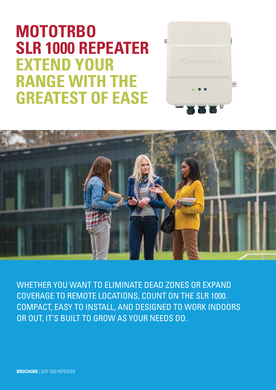# **MOTOTRBO SLR 1000 REPEATER EXTEND YOUR RANGE WITH THE GREATEST OF EASE**





WHETHER YOU WANT TO ELIMINATE DEAD ZONES OR EXPAND COVERAGE TO REMOTE LOCATIONS, COUNT ON THE SLR 1000. COMPACT, EASY TO INSTALL, AND DESIGNED TO WORK INDOORS OR OUT, IT'S BUILT TO GROW AS YOUR NEEDS DO.

**BROCHURE** | SLR 1000 REPEATER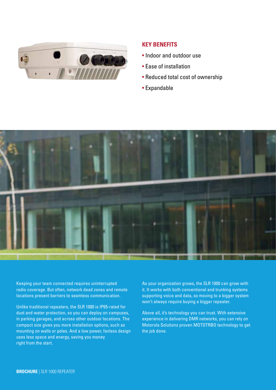

#### **KEY BENEFITS**

- Indoor and outdoor use
- Ease of installation
- Reduced total cost of ownership
- Expandable



Keeping your team connected requires uninterrupted radio coverage. But often, network dead zones and remote locations present barriers to seamless communication.

Unlike traditional repeaters, the SLR 1000 is IP65-rated for dust and water protection, so you can deploy on campuses, in parking garages, and across other outdoor locations. The compact size gives you more installation options, such as mounting on walls or poles. And a low power, fanless design uses less space and energy, saving you money right from the start.

As your organization grows, the SLR 1000 can grow with it. It works with both conventional and trunking systems supporting voice and data, so moving to a bigger system won't always require buying a bigger repeater.

Above all, it's technology you can trust. With extensive experience in delivering DMR networks, you can rely on Motorola Solutions proven MOTOTRBO technology to get the job done.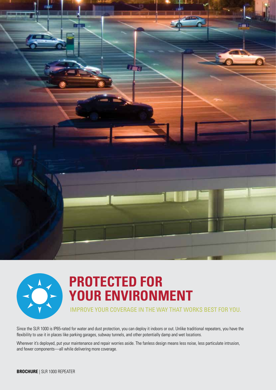



#### **PROTECTED FOR YOUR ENVIRONMENT**

IMPROVE YOUR COVERAGE IN THE WAY THAT WORKS BEST FOR YOU.

Since the SLR 1000 is IP65-rated for water and dust protection, you can deploy it indoors or out. Unlike traditional repeaters, you have the flexibility to use it in places like parking garages, subway tunnels, and other potentially damp and wet locations.

Wherever it's deployed, put your maintenance and repair worries aside. The fanless design means less noise, less particulate intrusion, and fewer components—all while delivering more coverage.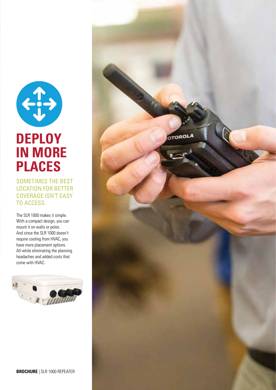

#### **DEPLOY IN MORE PLACES**

SOMETIMES THE BEST LOCATION FOR BETTER COVERAGE ISN'T EASY TO ACCESS.

The SLR 1000 makes it simple. With a compact design, you can mount it on walls or poles. And since the SLR 1000 doesn't require cooling from HVAC, you have more placement options. All while eliminating the planning headaches and added costs that come with HVAC.



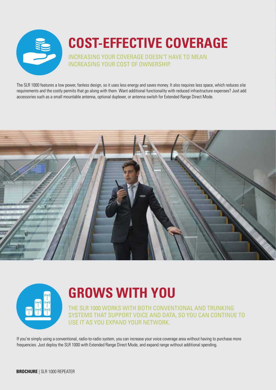

## **COST-EFFECTIVE COVERAGE**

INCREASING YOUR COVERAGE DOESN'T HAVE TO MEAN INCREASING YOUR COST OF OWNERSHIP.

The SLR 1000 features a low power, fanless design, so it uses less energy and saves money. It also requires less space, which reduces site requirements and the costly permits that go along with them. Want additional functionality with reduced infrastructure expenses? Just add accessories such as a small mountable antenna, optional duplexer, or antenna switch for Extended Range Direct Mode.





### **GROWS WITH YOU**

THE SLR 1000 WORKS WITH BOTH CONVENTIONAL AND TRUNKING SYSTEMS THAT SUPPORT VOICE AND DATA, SO YOU CAN CONTINUE TO USE IT AS YOU EXPAND YOUR NETWORK.

If you're simply using a conventional, radio-to-radio system, you can increase your voice coverage area without having to purchase more frequencies. Just deploy the SLR 1000 with Extended Range Direct Mode, and expand range without additional spending.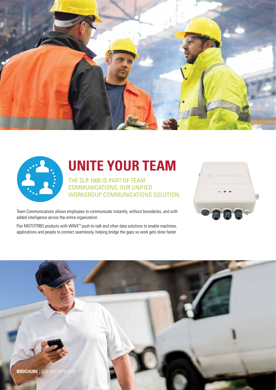



#### **UNITE YOUR TEAM**

THE SLR 1000 IS PART OF TEAM COMMUNICATIONS, OUR UNIFIED WORKGROUP COMMUNICATIONS SOLUTION.



Team Communications allows employees to communicate instantly, without boundaries, and with added intelligence across the entire organization.

Pair MOTOTRBO products with WAVE™ push-to-talk and other data solutions to enable machines, applications and people to connect seamlessly, helping bridge the gaps so work gets done faster.

**BROCHURE** | SLR 1000 REPEATER